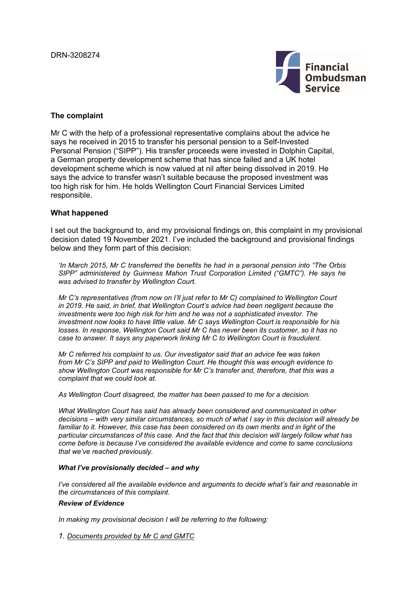

## **The complaint**

Mr C with the help of a professional representative complains about the advice he says he received in 2015 to transfer his personal pension to a Self-Invested Personal Pension ("SIPP"). His transfer proceeds were invested in Dolphin Capital, a German property development scheme that has since failed and a UK hotel development scheme which is now valued at nil after being dissolved in 2019. He says the advice to transfer wasn't suitable because the proposed investment was too high risk for him. He holds Wellington Court Financial Services Limited responsible.

## **What happened**

I set out the background to, and my provisional findings on, this complaint in my provisional decision dated 19 November 2021. I've included the background and provisional findings below and they form part of this decision:

*'In March 2015, Mr C transferred the benefits he had in a personal pension into "The Orbis SIPP" administered by Guinness Mahon Trust Corporation Limited ("GMTC"). He says he was advised to transfer by Wellington Court.*

*Mr C's representatives (from now on I'll just refer to Mr C) complained to Wellington Court in 2019. He said, in brief, that Wellington Court's advice had been negligent because the investments were too high risk for him and he was not a sophisticated investor. The investment now looks to have little value. Mr C says Wellington Court is responsible for his losses. In response, Wellington Court said Mr C has never been its customer, so it has no case to answer. It says any paperwork linking Mr C to Wellington Court is fraudulent.*

*Mr C referred his complaint to us. Our investigator said that an advice fee was taken from Mr C's SIPP and paid to Wellington Court. He thought this was enough evidence to show Wellington Court was responsible for Mr C's transfer and, therefore, that this was a complaint that we could look at.*

*As Wellington Court disagreed, the matter has been passed to me for a decision.*

*What Wellington Court has said has already been considered and communicated in other decisions – with very similar circumstances, so much of what I say in this decision will already be*  familiar to it. However, this case has been considered on its own merits and in light of the *particular circumstances of this case. And the fact that this decision will largely follow what has come before is because I've considered the available evidence and come to same conclusions that we've reached previously.*

### *What I've provisionally decided – and why*

*I've considered all the available evidence and arguments to decide what's fair and reasonable in the circumstances of this complaint.*

## *Review of Evidence*

*In making my provisional decision I will be referring to the following:*

*1. Documents provided by Mr C and GMTC*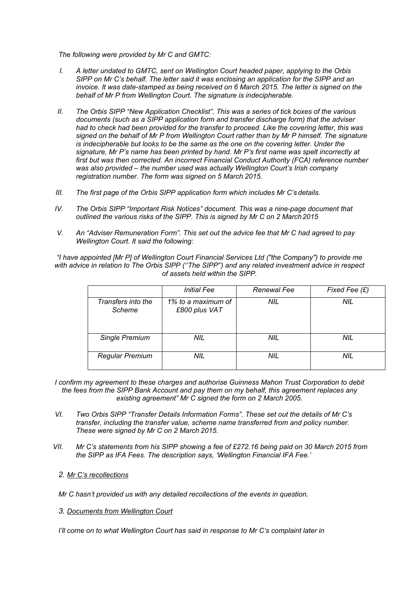*The following were provided by Mr C and GMTC:*

- *I. A letter undated to GMTC, sent on Wellington Court headed paper, applying to the Orbis SIPP on Mr C's behalf. The letter said it was enclosing an application for the SIPP and an invoice. It was date-stamped as being received on 6 March 2015. The letter is signed on the behalf of Mr P from Wellington Court. The signature is indecipherable.*
- *II. The Orbis SIPP "New Application Checklist". This was a series of tick boxes of the various documents (such as a SIPP application form and transfer discharge form) that the adviser had to check had been provided for the transfer to proceed. Like the covering letter, this was signed on the behalf of Mr P from Wellington Court rather than by Mr P himself. The signature is indecipherable but looks to be the same as the one on the covering letter. Under the signature, Mr P's name has been printed by hand. Mr P's first name was spelt incorrectly at first but was then corrected. An incorrect Financial Conduct Authority (FCA) reference number was also provided – the number used was actually Wellington Court's Irish company registration number. The form was signed on 5 March 2015.*
- *III. The first page of the Orbis SIPP application form which includes Mr C's details.*
- *IV. The Orbis SIPP "Important Risk Notices" document. This was a nine-page document that outlined the various risks of the SIPP. This is signed by Mr C on 2 March 2015*
- *V. An "Adviser Remuneration Form". This set out the advice fee that Mr C had agreed to pay Wellington Court. It said the following:*

*"I have appointed [Mr P] of Wellington Court Financial Services Ltd ("the Company") to provide me with advice in relation to The Orbis SIPP (''The SIPP'') and any related investment advice in respect of assets held within the SIPP.*

|                              | <b>Initial Fee</b>                  | Renewal Fee | Fixed Fee $(E)$ |
|------------------------------|-------------------------------------|-------------|-----------------|
| Transfers into the<br>Scheme | 1% to a maximum of<br>£800 plus VAT | NIL         | NIL             |
| <b>Single Premium</b>        | NIL                                 | NIL         | NIL             |
| <b>Regular Premium</b>       | <b>NIL</b>                          | <b>NIL</b>  | <b>NIL</b>      |

- *I confirm my agreement to these charges and authorise Guinness Mahon Trust Corporation to debit the fees from the SIPP Bank Account and pay them on my behalf, this agreement replaces any existing agreement" Mr C signed the form on 2 March 2005.*
- *VI. Two Orbis SIPP "Transfer Details Information Forms". These set out the details of Mr C's transfer, including the transfer value, scheme name transferred from and policy number. These were signed by Mr C on 2 March 2015.*
- *VII. Mr C's statements from his SIPP showing a fee of £272.16 being paid on 30 March 2015 from the SIPP as IFA Fees. The description says, 'Wellington Financial IFA Fee.'*

## *2. Mr C's recollections*

*Mr C hasn't provided us with any detailed recollections of the events in question.*

### *3. Documents from Wellington Court*

*I'll come on to what Wellington Court has said in response to Mr C's complaint later in*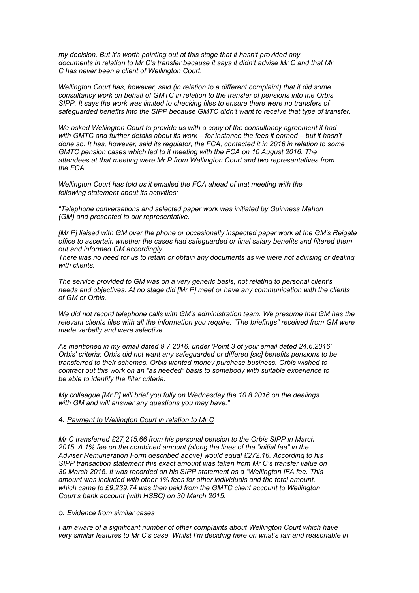*my decision. But it's worth pointing out at this stage that it hasn't provided any documents in relation to Mr C's transfer because it says it didn't advise Mr C and that Mr C has never been a client of Wellington Court.*

*Wellington Court has, however, said (in relation to a different complaint) that it did some consultancy work on behalf of GMTC in relation to the transfer of pensions into the Orbis SIPP. It says the work was limited to checking files to ensure there were no transfers of safeguarded benefits into the SIPP because GMTC didn't want to receive that type of transfer.*

*We asked Wellington Court to provide us with a copy of the consultancy agreement it had*  with GMTC and further details about its work – for instance the fees it earned – but it hasn't *done so. It has, however, said its regulator, the FCA, contacted it in 2016 in relation to some GMTC pension cases which led to it meeting with the FCA on 10 August 2016. The attendees at that meeting were Mr P from Wellington Court and two representatives from the FCA.*

*Wellington Court has told us it emailed the FCA ahead of that meeting with the following statement about its activities:*

*"Telephone conversations and selected paper work was initiated by Guinness Mahon (GM) and presented to our representative.*

*[Mr P] liaised with GM over the phone or occasionally inspected paper work at the GM's Reigate office to ascertain whether the cases had safeguarded or final salary benefits and filtered them out and informed GM accordingly.*

*There was no need for us to retain or obtain any documents as we were not advising or dealing with clients.*

*The service provided to GM was on a very generic basis, not relating to personal client's needs and objectives. At no stage did [Mr P] meet or have any communication with the clients of GM or Orbis.*

*We did not record telephone calls with GM's administration team. We presume that GM has the relevant clients files with all the information you require. "The briefings" received from GM were made verbally and were selective.*

*As mentioned in my email dated 9.7.2016, under 'Point 3 of your email dated 24.6.2016' Orbis' criteria: Orbis did not want any safeguarded or differed [sic] benefits pensions to be transferred to their schemes. Orbis wanted money purchase business. Orbis wished to contract out this work on an "as needed" basis to somebody with suitable experience to be able to identify the filter criteria.*

*My colleague [Mr P] will brief you fully on Wednesday the 10.8.2016 on the dealings with GM and will answer any questions you may have."*

#### *4. Payment to Wellington Court in relation to Mr C*

*Mr C transferred £27,215.66 from his personal pension to the Orbis SIPP in March 2015. A 1% fee on the combined amount (along the lines of the "initial fee" in the Adviser Remuneration Form described above) would equal £272.16. According to his SIPP transaction statement this exact amount was taken from Mr C's transfer value on 30 March 2015. It was recorded on his SIPP statement as a "Wellington IFA fee. This amount was included with other 1% fees for other individuals and the total amount, which came to £9,239.74 was then paid from the GMTC client account to Wellington Court's bank account (with HSBC) on 30 March 2015.*

## *5. Evidence from similar cases*

*I am aware of a significant number of other complaints about Wellington Court which have very similar features to Mr C's case. Whilst I'm deciding here on what's fair and reasonable in*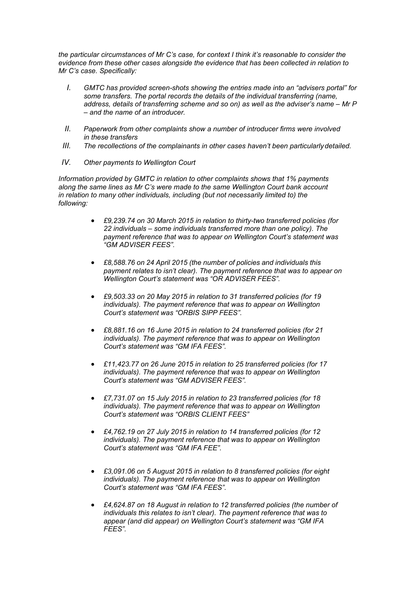*the particular circumstances of Mr C's case, for context I think it's reasonable to consider the evidence from these other cases alongside the evidence that has been collected in relation to Mr C's case. Specifically:*

- *I. GMTC has provided screen-shots showing the entries made into an "advisers portal" for some transfers. The portal records the details of the individual transferring (name, address, details of transferring scheme and so on) as well as the adviser's name – Mr P – and the name of an introducer.*
- *II. Paperwork from other complaints show a number of introducer firms were involved in these transfers*
- *III. The recollections of the complainants in other cases haven't been particularly detailed.*
- *IV. Other payments to Wellington Court*

*Information provided by GMTC in relation to other complaints shows that 1% payments along the same lines as Mr C's were made to the same Wellington Court bank account in relation to many other individuals, including (but not necessarily limited to) the following:*

- *£9,239.74 on 30 March 2015 in relation to thirty-two transferred policies (for 22 individuals – some individuals transferred more than one policy). The payment reference that was to appear on Wellington Court's statement was "GM ADVISER FEES".*
- *£8,588.76 on 24 April 2015 (the number of policies and individuals this payment relates to isn't clear). The payment reference that was to appear on Wellington Court's statement was "OR ADVISER FEES".*
- *£9,503.33 on 20 May 2015 in relation to 31 transferred policies (for 19 individuals). The payment reference that was to appear on Wellington Court's statement was "ORBIS SIPP FEES".*
- *£8,881.16 on 16 June 2015 in relation to 24 transferred policies (for 21 individuals). The payment reference that was to appear on Wellington Court's statement was "GM IFA FEES".*
- *£11,423.77 on 26 June 2015 in relation to 25 transferred policies (for 17 individuals). The payment reference that was to appear on Wellington Court's statement was "GM ADVISER FEES".*
- *£7,731.07 on 15 July 2015 in relation to 23 transferred policies (for 18 individuals). The payment reference that was to appear on Wellington Court's statement was "ORBIS CLIENT FEES"*
- *£4,762.19 on 27 July 2015 in relation to 14 transferred policies (for 12 individuals). The payment reference that was to appear on Wellington Court's statement was "GM IFA FEE".*
- *£3,091.06 on 5 August 2015 in relation to 8 transferred policies (for eight individuals). The payment reference that was to appear on Wellington Court's statement was "GM IFA FEES".*
- *£4,624.87 on 18 August in relation to 12 transferred policies (the number of individuals this relates to isn't clear). The payment reference that was to appear (and did appear) on Wellington Court's statement was "GM IFA FEES".*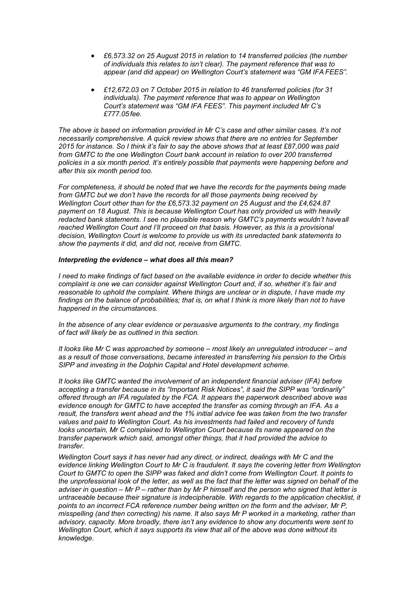- *£6,573.32 on 25 August 2015 in relation to 14 transferred policies (the number of individuals this relates to isn't clear). The payment reference that was to appear (and did appear) on Wellington Court's statement was "GM IFA FEES".*
- *£12,672.03 on 7 October 2015 in relation to 46 transferred policies (for 31 individuals). The payment reference that was to appear on Wellington Court's statement was "GM IFA FEES". This payment included Mr C's £777.05 fee.*

*The above is based on information provided in Mr C's case and other similar cases. It's not necessarily comprehensive. A quick review shows that there are no entries for September 2015 for instance. So I think it's fair to say the above shows that at least £87,000 was paid from GMTC to the one Wellington Court bank account in relation to over 200 transferred policies in a six month period. It's entirely possible that payments were happening before and after this six month period too.*

*For completeness, it should be noted that we have the records for the payments being made from GMTC but we don't have the records for all those payments being received by Wellington Court other than for the £6,573.32 payment on 25 August and the £4,624.87 payment on 18 August. This is because Wellington Court has only provided us with heavily*  redacted bank statements. I see no plausible reason why GMTC's payments wouldn't have all reached Wellington Court and I'll proceed on that basis. However, as this is a provisional *decision, Wellington Court is welcome to provide us with its unredacted bank statements to show the payments it did, and did not, receive from GMTC.*

#### *Interpreting the evidence – what does all this mean?*

*I need to make findings of fact based on the available evidence in order to decide whether this complaint is one we can consider against Wellington Court and, if so, whether it's fair and reasonable to uphold the complaint. Where things are unclear or in dispute, I have made my findings on the balance of probabilities; that is, on what I think is more likely than not to have happened in the circumstances.*

*In the absence of any clear evidence or persuasive arguments to the contrary, my findings of fact will likely be as outlined in this section.*

*It looks like Mr C was approached by someone – most likely an unregulated introducer – and as a result of those conversations, became interested in transferring his pension to the Orbis SIPP and investing in the Dolphin Capital and Hotel development scheme.* 

*It looks like GMTC wanted the involvement of an independent financial adviser (IFA) before accepting a transfer because in its "Important Risk Notices", it said the SIPP was "ordinarily" offered through an IFA regulated by the FCA. It appears the paperwork described above was evidence enough for GMTC to have accepted the transfer as coming through an IFA. As a result, the transfers went ahead and the 1% initial advice fee was taken from the two transfer values and paid to Wellington Court. As his investments had failed and recovery of funds*  looks uncertain, Mr C complained to Wellington Court because its name appeared on the *transfer paperwork which said, amongst other things, that it had provided the advice to transfer.*

*Wellington Court says it has never had any direct, or indirect, dealings with Mr C and the evidence linking Wellington Court to Mr C is fraudulent. It says the covering letter from Wellington Court to GMTC to open the SIPP was faked and didn't come from Wellington Court. It points to the unprofessional look of the letter, as well as the fact that the letter was signed on behalf of the adviser in question – Mr P – rather than by Mr P himself and the person who signed that letter is untraceable because their signature is indecipherable. With regards to the application checklist, it points to an incorrect FCA reference number being written on the form and the adviser, Mr P, misspelling (and then correcting) his name. It also says Mr P worked in a marketing, rather than advisory, capacity. More broadly, there isn't any evidence to show any documents were sent to Wellington Court, which it says supports its view that all of the above was done without its knowledge.*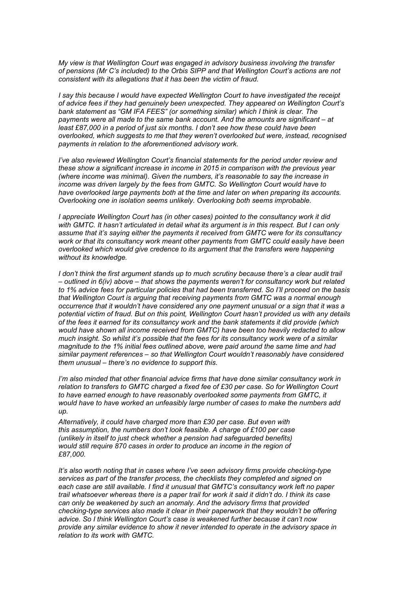*My view is that Wellington Court was engaged in advisory business involving the transfer of pensions (Mr C's included) to the Orbis SIPP and that Wellington Court's actions are not consistent with its allegations that it has been the victim of fraud.*

*I say this because I would have expected Wellington Court to have investigated the receipt of advice fees if they had genuinely been unexpected. They appeared on Wellington Court's bank statement as "GM IFA FEES" (or something similar) which I think is clear. The payments were all made to the same bank account. And the amounts are significant – at least £87,000 in a period of just six months. I don't see how these could have been overlooked, which suggests to me that they weren't overlooked but were, instead, recognised payments in relation to the aforementioned advisory work.*

*I've also reviewed Wellington Court's financial statements for the period under review and these show a significant increase in income in 2015 in comparison with the previous year (where income was minimal). Given the numbers, it's reasonable to say the increase in income was driven largely by the fees from GMTC. So Wellington Court would have to have overlooked large payments both at the time and later on when preparing its accounts. Overlooking one in isolation seems unlikely. Overlooking both seems improbable.*

*I appreciate Wellington Court has (in other cases) pointed to the consultancy work it did with GMTC. It hasn't articulated in detail what its argument is in this respect. But I can only assume that it's saying either the payments it received from GMTC were for its consultancy work or that its consultancy work meant other payments from GMTC could easily have been overlooked which would give credence to its argument that the transfers were happening without its knowledge.*

*I don't think the first argument stands up to much scrutiny because there's a clear audit trail – outlined in 6(iv) above – that shows the payments weren't for consultancy work but related to 1% advice fees for particular policies that had been transferred. So I'll proceed on the basis that Wellington Court is arguing that receiving payments from GMTC was a normal enough occurrence that it wouldn't have considered any one payment unusual or a sign that it was a potential victim of fraud. But on this point, Wellington Court hasn't provided us with any details of the fees it earned for its consultancy work and the bank statements it did provide (which would have shown all income received from GMTC) have been too heavily redacted to allow much insight. So whilst it's possible that the fees for its consultancy work were of a similar magnitude to the 1% initial fees outlined above, were paid around the same time and had similar payment references – so that Wellington Court wouldn't reasonably have considered them unusual – there's no evidence to support this.*

*I'm also minded that other financial advice firms that have done similar consultancy work in relation to transfers to GMTC charged a fixed fee of £30 per case. So for Wellington Court to have earned enough to have reasonably overlooked some payments from GMTC, it would have to have worked an unfeasibly large number of cases to make the numbers add up.*

*Alternatively, it could have charged more than £30 per case. But even with this assumption, the numbers don't look feasible. A charge of £100 per case (unlikely in itself to just check whether a pension had safeguarded benefits) would still require 870 cases in order to produce an income in the region of £87,000.*

*It's also worth noting that in cases where I've seen advisory firms provide checking-type services as part of the transfer process, the checklists they completed and signed on each case are still available. I find it unusual that GMTC's consultancy work left no paper trail whatsoever whereas there is a paper trail for work it said it didn't do. I think its case can only be weakened by such an anomaly. And the advisory firms that provided checking-type services also made it clear in their paperwork that they wouldn't be offering advice. So I think Wellington Court's case is weakened further because it can't now provide any similar evidence to show it never intended to operate in the advisory space in relation to its work with GMTC.*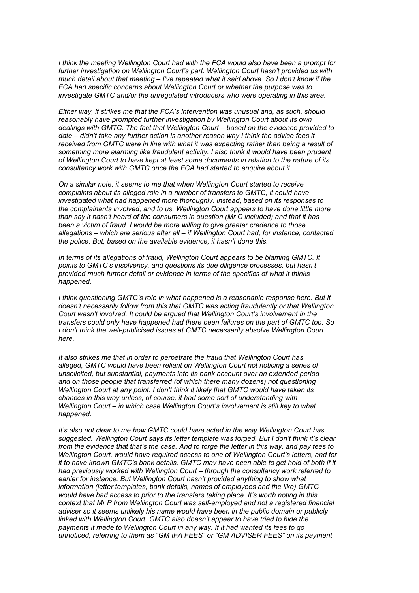*I think the meeting Wellington Court had with the FCA would also have been a prompt for further investigation on Wellington Court's part. Wellington Court hasn't provided us with much detail about that meeting – I've repeated what it said above. So I don't know if the FCA had specific concerns about Wellington Court or whether the purpose was to investigate GMTC and/or the unregulated introducers who were operating in this area.*

*Either way, it strikes me that the FCA's intervention was unusual and, as such, should reasonably have prompted further investigation by Wellington Court about its own dealings with GMTC. The fact that Wellington Court – based on the evidence provided to date – didn't take any further action is another reason why I think the advice fees it received from GMTC were in line with what it was expecting rather than being a result of something more alarming like fraudulent activity. I also think it would have been prudent of Wellington Court to have kept at least some documents in relation to the nature of its consultancy work with GMTC once the FCA had started to enquire about it.*

*On a similar note, it seems to me that when Wellington Court started to receive complaints about its alleged role in a number of transfers to GMTC, it could have investigated what had happened more thoroughly. Instead, based on its responses to the complainants involved, and to us, Wellington Court appears to have done little more than say it hasn't heard of the consumers in question (Mr C included) and that it has been a victim of fraud. I would be more willing to give greater credence to those allegations – which are serious after all – if Wellington Court had, for instance, contacted the police. But, based on the available evidence, it hasn't done this.*

*In terms of its allegations of fraud, Wellington Court appears to be blaming GMTC. It points to GMTC's insolvency, and questions its due diligence processes, but hasn't provided much further detail or evidence in terms of the specifics of what it thinks happened.*

*I think questioning GMTC's role in what happened is a reasonable response here. But it doesn't necessarily follow from this that GMTC was acting fraudulently or that Wellington Court wasn't involved. It could be argued that Wellington Court's involvement in the transfers could only have happened had there been failures on the part of GMTC too. So I don't think the well-publicised issues at GMTC necessarily absolve Wellington Court here.*

*It also strikes me that in order to perpetrate the fraud that Wellington Court has alleged, GMTC would have been reliant on Wellington Court not noticing a series of unsolicited, but substantial, payments into its bank account over an extended period and on those people that transferred (of which there many dozens) not questioning Wellington Court at any point. I don't think it likely that GMTC would have taken its chances in this way unless, of course, it had some sort of understanding with Wellington Court – in which case Wellington Court's involvement is still key to what happened.*

*It's also not clear to me how GMTC could have acted in the way Wellington Court has suggested. Wellington Court says its letter template was forged. But I don't think it's clear from the evidence that that's the case. And to forge the letter in this way, and pay fees to Wellington Court, would have required access to one of Wellington Court's letters, and for it to have known GMTC's bank details. GMTC may have been able to get hold of both if it had previously worked with Wellington Court – through the consultancy work referred to earlier for instance. But Wellington Court hasn't provided anything to show what information (letter templates, bank details, names of employees and the like) GMTC would have had access to prior to the transfers taking place. It's worth noting in this context that Mr P from Wellington Court was self-employed and not a registered financial adviser so it seems unlikely his name would have been in the public domain or publicly linked with Wellington Court. GMTC also doesn't appear to have tried to hide the payments it made to Wellington Court in any way. If it had wanted its fees to go unnoticed, referring to them as "GM IFA FEES" or "GM ADVISER FEES" on its payment*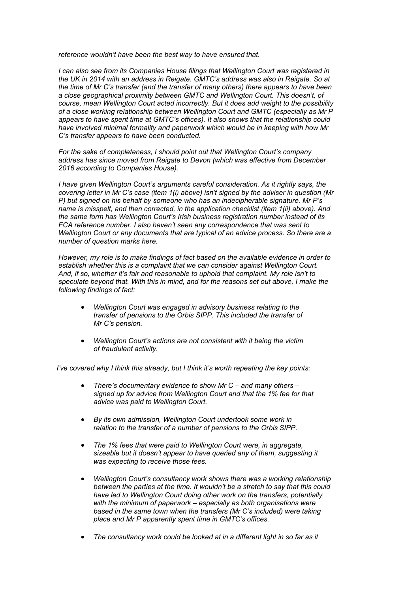*reference wouldn't have been the best way to have ensured that.*

*I can also see from its Companies House filings that Wellington Court was registered in the UK in 2014 with an address in Reigate. GMTC's address was also in Reigate. So at the time of Mr C's transfer (and the transfer of many others) there appears to have been a close geographical proximity between GMTC and Wellington Court. This doesn't, of course, mean Wellington Court acted incorrectly. But it does add weight to the possibility of a close working relationship between Wellington Court and GMTC (especially as Mr P appears to have spent time at GMTC's offices). It also shows that the relationship could have involved minimal formality and paperwork which would be in keeping with how Mr C's transfer appears to have been conducted.*

*For the sake of completeness, I should point out that Wellington Court's company address has since moved from Reigate to Devon (which was effective from December 2016 according to Companies House).*

*I have given Wellington Court's arguments careful consideration. As it rightly says, the covering letter in Mr C's case (item 1(i) above) isn't signed by the adviser in question (Mr P) but signed on his behalf by someone who has an indecipherable signature. Mr P's name is misspelt, and then corrected, in the application checklist (item 1(ii) above). And the same form has Wellington Court's Irish business registration number instead of its FCA reference number. I also haven't seen any correspondence that was sent to Wellington Court or any documents that are typical of an advice process. So there are a number of question marks here.*

*However, my role is to make findings of fact based on the available evidence in order to establish whether this is a complaint that we can consider against Wellington Court. And, if so, whether it's fair and reasonable to uphold that complaint. My role isn't to speculate beyond that. With this in mind, and for the reasons set out above, I make the following findings of fact:*

- *Wellington Court was engaged in advisory business relating to the transfer of pensions to the Orbis SIPP. This included the transfer of Mr C's pension.*
- *Wellington Court's actions are not consistent with it being the victim of fraudulent activity.*

 *I've covered why I think this already, but I think it's worth repeating the key points:*

- *There's documentary evidence to show Mr C and many others signed up for advice from Wellington Court and that the 1% fee for that advice was paid to Wellington Court.*
- *By its own admission, Wellington Court undertook some work in relation to the transfer of a number of pensions to the Orbis SIPP.*
- *The 1% fees that were paid to Wellington Court were, in aggregate, sizeable but it doesn't appear to have queried any of them, suggesting it was expecting to receive those fees.*
- *Wellington Court's consultancy work shows there was a working relationship between the parties at the time. It wouldn't be a stretch to say that this could have led to Wellington Court doing other work on the transfers, potentially with the minimum of paperwork – especially as both organisations were based in the same town when the transfers (Mr C's included) were taking place and Mr P apparently spent time in GMTC's offices.*
- *The consultancy work could be looked at in a different light in so far as it*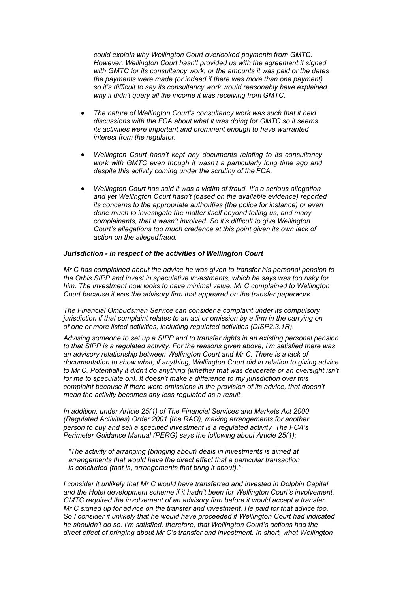*could explain why Wellington Court overlooked payments from GMTC. However, Wellington Court hasn't provided us with the agreement it signed with GMTC for its consultancy work, or the amounts it was paid or the dates the payments were made (or indeed if there was more than one payment) so it's difficult to say its consultancy work would reasonably have explained why it didn't query all the income it was receiving from GMTC.*

- *The nature of Wellington Court's consultancy work was such that it held discussions with the FCA about what it was doing for GMTC so it seems its activities were important and prominent enough to have warranted interest from the regulator.*
- *Wellington Court hasn't kept any documents relating to its consultancy work with GMTC even though it wasn't a particularly long time ago and despite this activity coming under the scrutiny of the FCA.*
- *Wellington Court has said it was a victim of fraud. It's a serious allegation and yet Wellington Court hasn't (based on the available evidence) reported its concerns to the appropriate authorities (the police for instance) or even done much to investigate the matter itself beyond telling us, and many complainants, that it wasn't involved. So it's difficult to give Wellington Court's allegations too much credence at this point given its own lack of action on the alleged fraud.*

#### *Jurisdiction - in respect of the activities of Wellington Court*

*Mr C has complained about the advice he was given to transfer his personal pension to the Orbis SIPP and invest in speculative investments, which he says was too risky for him. The investment now looks to have minimal value. Mr C complained to Wellington Court because it was the advisory firm that appeared on the transfer paperwork.*

*The Financial Ombudsman Service can consider a complaint under its compulsory jurisdiction if that complaint relates to an act or omission by a firm in the carrying on of one or more listed activities, including regulated activities (DISP2.3.1R).*

*Advising someone to set up a SIPP and to transfer rights in an existing personal pension to that SIPP is a regulated activity. For the reasons given above, I'm satisfied there was*  an advisory relationship between Wellington Court and Mr C. There is a lack of *documentation to show what, if anything, Wellington Court did in relation to giving advice to Mr C. Potentially it didn't do anything (whether that was deliberate or an oversight isn't for me to speculate on). It doesn't make a difference to my jurisdiction over this complaint because if there were omissions in the provision of its advice, that doesn't mean the activity becomes any less regulated as a result.*

*In addition, under Article 25(1) of The Financial Services and Markets Act 2000 (Regulated Activities) Order 2001 (the RAO), making arrangements for another person to buy and sell a specified investment is a regulated activity. The FCA's Perimeter Guidance Manual (PERG) says the following about Article 25(1):*

*"The activity of arranging (bringing about) deals in investments is aimed at arrangements that would have the direct effect that a particular transaction is concluded (that is, arrangements that bring it about)."*

*I consider it unlikely that Mr C would have transferred and invested in Dolphin Capital and the Hotel development scheme if it hadn't been for Wellington Court's involvement. GMTC required the involvement of an advisory firm before it would accept a transfer. Mr C signed up for advice on the transfer and investment. He paid for that advice too. So I consider it unlikely that he would have proceeded if Wellington Court had indicated he shouldn't do so. I'm satisfied, therefore, that Wellington Court's actions had the direct effect of bringing about Mr C's transfer and investment. In short, what Wellington*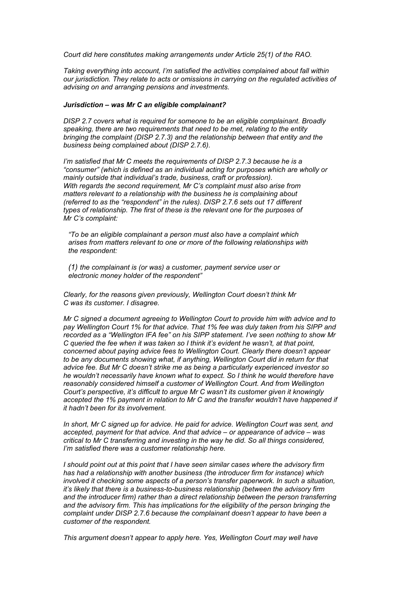*Court did here constitutes making arrangements under Article 25(1) of the RAO.*

*Taking everything into account, I'm satisfied the activities complained about fall within our jurisdiction. They relate to acts or omissions in carrying on the regulated activities of advising on and arranging pensions and investments.*

#### *Jurisdiction – was Mr C an eligible complainant?*

*DISP 2.7 covers what is required for someone to be an eligible complainant. Broadly speaking, there are two requirements that need to be met, relating to the entity bringing the complaint (DISP 2.7.3) and the relationship between that entity and the business being complained about (DISP 2.7.6).*

*I'm satisfied that Mr C meets the requirements of DISP 2.7.3 because he is a "consumer" (which is defined as an individual acting for purposes which are wholly or mainly outside that individual's trade, business, craft or profession). With regards the second requirement, Mr C's complaint must also arise from matters relevant to a relationship with the business he is complaining about (referred to as the "respondent" in the rules). DISP 2.7.6 sets out 17 different types of relationship. The first of these is the relevant one for the purposes of Mr C's complaint:*

*"To be an [eligible complainant](https://www.handbook.fca.org.uk/handbook/glossary/G349.html) a [person](https://www.handbook.fca.org.uk/handbook/glossary/G869.html) must also have a [complaint w](https://www.handbook.fca.org.uk/handbook/glossary/G197.html)hich arises from matters relevant to one or more of the following relationships with the [respondent:](https://www.handbook.fca.org.uk/handbook/glossary/G2497.html)*

*(1) the complainant is (or was) a customer, [payment service user o](https://www.handbook.fca.org.uk/handbook/glossary/G2620.html)r electronic money holder of the [respondent"](https://www.handbook.fca.org.uk/handbook/glossary/G2497.html)*

*Clearly, for the reasons given previously, Wellington Court doesn't think Mr C was its customer. I disagree.*

*Mr C signed a document agreeing to Wellington Court to provide him with advice and to pay Wellington Court 1% for that advice. That 1% fee was duly taken from his SIPP and recorded as a "Wellington IFA fee" on his SIPP statement. I've seen nothing to show Mr C queried the fee when it was taken so I think it's evident he wasn't, at that point, concerned about paying advice fees to Wellington Court. Clearly there doesn't appear to be any documents showing what, if anything, Wellington Court did in return for that advice fee. But Mr C doesn't strike me as being a particularly experienced investor so he wouldn't necessarily have known what to expect. So I think he would therefore have reasonably considered himself a customer of Wellington Court. And from Wellington Court's perspective, it's difficult to argue Mr C wasn't its customer given it knowingly accepted the 1% payment in relation to Mr C and the transfer wouldn't have happened if it hadn't been for its involvement.*

*In short, Mr C signed up for advice. He paid for advice. Wellington Court was sent, and accepted, payment for that advice. And that advice – or appearance of advice – was critical to Mr C transferring and investing in the way he did. So all things considered, I'm satisfied there was a customer relationship here.*

*I should point out at this point that I have seen similar cases where the advisory firm has had a relationship with another business (the introducer firm for instance) which involved it checking some aspects of a person's transfer paperwork. In such a situation, it's likely that there is a business-to-business relationship (between the advisory firm and the introducer firm) rather than a direct relationship between the person transferring and the advisory firm. This has implications for the eligibility of the person bringing the complaint under DISP 2.7.6 because the complainant doesn't appear to have been a customer of the respondent.*

*This argument doesn't appear to apply here. Yes, Wellington Court may well have*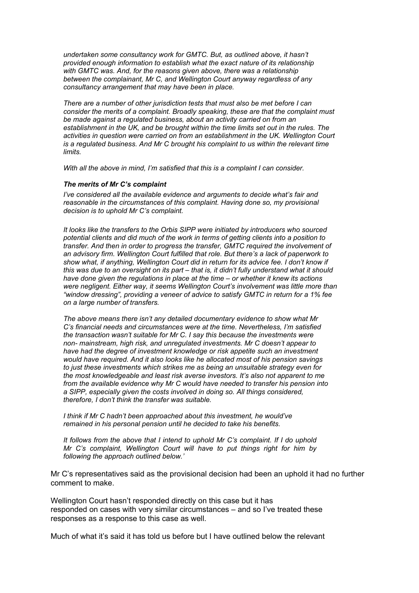*undertaken some consultancy work for GMTC. But, as outlined above, it hasn't provided enough information to establish what the exact nature of its relationship with GMTC was. And, for the reasons given above, there was a relationship between the complainant, Mr C, and Wellington Court anyway regardless of any consultancy arrangement that may have been in place.*

*There are a number of other jurisdiction tests that must also be met before I can consider the merits of a complaint. Broadly speaking, these are that the complaint must be made against a regulated business, about an activity carried on from an establishment in the UK, and be brought within the time limits set out in the rules. The activities in question were carried on from an establishment in the UK. Wellington Court is a regulated business. And Mr C brought his complaint to us within the relevant time limits.*

*With all the above in mind, I'm satisfied that this is a complaint I can consider.*

### *The merits of Mr C's complaint*

*I've considered all the available evidence and arguments to decide what's fair and reasonable in the circumstances of this complaint. Having done so, my provisional decision is to uphold Mr C's complaint.*

*It looks like the transfers to the Orbis SIPP were initiated by introducers who sourced potential clients and did much of the work in terms of getting clients into a position to transfer. And then in order to progress the transfer, GMTC required the involvement of an advisory firm. Wellington Court fulfilled that role. But there's a lack of paperwork to show what, if anything, Wellington Court did in return for its advice fee. I don't know if this was due to an oversight on its part – that is, it didn't fully understand what it should have done given the regulations in place at the time – or whether it knew its actions were negligent. Either way, it seems Wellington Court's involvement was little more than "window dressing", providing a veneer of advice to satisfy GMTC in return for a 1% fee on a large number of transfers.*

*The above means there isn't any detailed documentary evidence to show what Mr C's financial needs and circumstances were at the time. Nevertheless, I'm satisfied the transaction wasn't suitable for Mr C. I say this because the investments were non- mainstream, high risk, and unregulated investments. Mr C doesn't appear to have had the degree of investment knowledge or risk appetite such an investment would have required. And it also looks like he allocated most of his pension savings to just these investments which strikes me as being an unsuitable strategy even for the most knowledgeable and least risk averse investors. It's also not apparent to me from the available evidence why Mr C would have needed to transfer his pension into a SIPP, especially given the costs involved in doing so. All things considered, therefore, I don't think the transfer was suitable.*

*I think if Mr C hadn't been approached about this investment, he would've remained in his personal pension until he decided to take his benefits.*

*It follows from the above that I intend to uphold Mr C's complaint. If I do uphold Mr C's complaint, Wellington Court will have to put things right for him by following the approach outlined below.'*

Mr C's representatives said as the provisional decision had been an uphold it had no further comment to make.

Wellington Court hasn't responded directly on this case but it has responded on cases with very similar circumstances – and so I've treated these responses as a response to this case as well.

Much of what it's said it has told us before but I have outlined below the relevant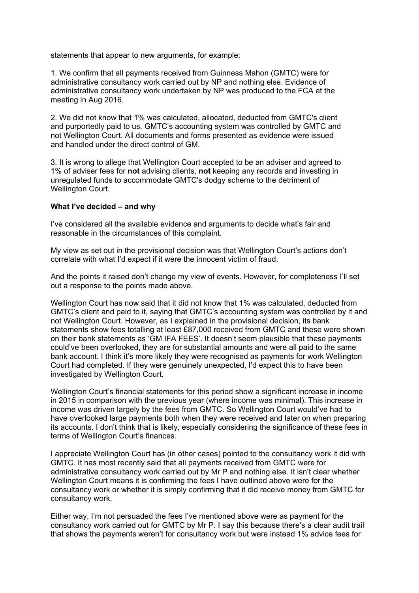statements that appear to new arguments, for example:

1. We confirm that all payments received from Guinness Mahon (GMTC) were for administrative consultancy work carried out by NP and nothing else. Evidence of administrative consultancy work undertaken by NP was produced to the FCA at the meeting in Aug 2016.

2. We did not know that 1% was calculated, allocated, deducted from GMTC's client and purportedly paid to us. GMTC's accounting system was controlled by GMTC and not Wellington Court. All documents and forms presented as evidence were issued and handled under the direct control of GM.

3. It is wrong to allege that Wellington Court accepted to be an adviser and agreed to 1% of adviser fees for **not** advising clients, **not** keeping any records and investing in unregulated funds to accommodate GMTC's dodgy scheme to the detriment of Wellington Court.

## **What I've decided – and why**

I've considered all the available evidence and arguments to decide what's fair and reasonable in the circumstances of this complaint.

My view as set out in the provisional decision was that Wellington Court's actions don't correlate with what I'd expect if it were the innocent victim of fraud.

And the points it raised don't change my view of events. However, for completeness I'll set out a response to the points made above.

Wellington Court has now said that it did not know that 1% was calculated, deducted from GMTC's client and paid to it, saying that GMTC's accounting system was controlled by it and not Wellington Court. However, as I explained in the provisional decision, its bank statements show fees totalling at least £87,000 received from GMTC and these were shown on their bank statements as 'GM IFA FEES'. It doesn't seem plausible that these payments could've been overlooked, they are for substantial amounts and were all paid to the same bank account. I think it's more likely they were recognised as payments for work Wellington Court had completed. If they were genuinely unexpected, I'd expect this to have been investigated by Wellington Court.

Wellington Court's financial statements for this period show a significant increase in income in 2015 in comparison with the previous year (where income was minimal). This increase in income was driven largely by the fees from GMTC. So Wellington Court would've had to have overlooked large payments both when they were received and later on when preparing its accounts. I don't think that is likely, especially considering the significance of these fees in terms of Wellington Court's finances.

I appreciate Wellington Court has (in other cases) pointed to the consultancy work it did with GMTC. It has most recently said that all payments received from GMTC were for administrative consultancy work carried out by Mr P and nothing else. It isn't clear whether Wellington Court means it is confirming the fees I have outlined above were for the consultancy work or whether it is simply confirming that it did receive money from GMTC for consultancy work.

Either way, I'm not persuaded the fees I've mentioned above were as payment for the consultancy work carried out for GMTC by Mr P. I say this because there's a clear audit trail that shows the payments weren't for consultancy work but were instead 1% advice fees for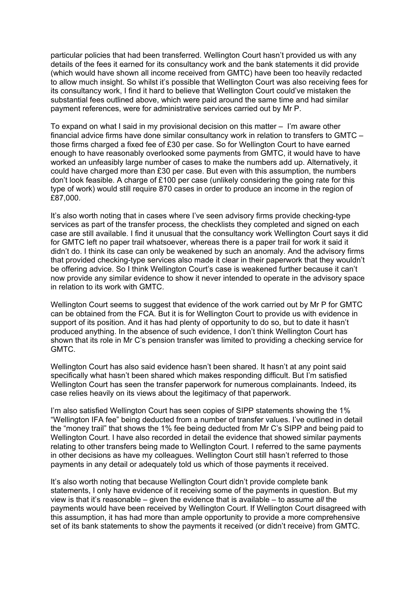particular policies that had been transferred. Wellington Court hasn't provided us with any details of the fees it earned for its consultancy work and the bank statements it did provide (which would have shown all income received from GMTC) have been too heavily redacted to allow much insight. So whilst it's possible that Wellington Court was also receiving fees for its consultancy work, I find it hard to believe that Wellington Court could've mistaken the substantial fees outlined above, which were paid around the same time and had similar payment references, were for administrative services carried out by Mr P.

To expand on what I said in my provisional decision on this matter – I'm aware other financial advice firms have done similar consultancy work in relation to transfers to GMTC – those firms charged a fixed fee of £30 per case. So for Wellington Court to have earned enough to have reasonably overlooked some payments from GMTC, it would have to have worked an unfeasibly large number of cases to make the numbers add up. Alternatively, it could have charged more than £30 per case. But even with this assumption, the numbers don't look feasible. A charge of £100 per case (unlikely considering the going rate for this type of work) would still require 870 cases in order to produce an income in the region of £87,000.

It's also worth noting that in cases where I've seen advisory firms provide checking-type services as part of the transfer process, the checklists they completed and signed on each case are still available. I find it unusual that the consultancy work Wellington Court says it did for GMTC left no paper trail whatsoever, whereas there is a paper trail for work it said it didn't do. I think its case can only be weakened by such an anomaly. And the advisory firms that provided checking-type services also made it clear in their paperwork that they wouldn't be offering advice. So I think Wellington Court's case is weakened further because it can't now provide any similar evidence to show it never intended to operate in the advisory space in relation to its work with GMTC.

Wellington Court seems to suggest that evidence of the work carried out by Mr P for GMTC can be obtained from the FCA. But it is for Wellington Court to provide us with evidence in support of its position. And it has had plenty of opportunity to do so, but to date it hasn't produced anything. In the absence of such evidence, I don't think Wellington Court has shown that its role in Mr C's pension transfer was limited to providing a checking service for GMTC.

Wellington Court has also said evidence hasn't been shared. It hasn't at any point said specifically what hasn't been shared which makes responding difficult. But I'm satisfied Wellington Court has seen the transfer paperwork for numerous complainants. Indeed, its case relies heavily on its views about the legitimacy of that paperwork.

I'm also satisfied Wellington Court has seen copies of SIPP statements showing the 1% "Wellington IFA fee" being deducted from a number of transfer values. I've outlined in detail the "money trail" that shows the 1% fee being deducted from Mr C's SIPP and being paid to Wellington Court. I have also recorded in detail the evidence that showed similar payments relating to other transfers being made to Wellington Court. I referred to the same payments in other decisions as have my colleagues. Wellington Court still hasn't referred to those payments in any detail or adequately told us which of those payments it received.

It's also worth noting that because Wellington Court didn't provide complete bank statements, I only have evidence of it receiving some of the payments in question. But my view is that it's reasonable – given the evidence that is available – to assume *all* the payments would have been received by Wellington Court. If Wellington Court disagreed with this assumption, it has had more than ample opportunity to provide a more comprehensive set of its bank statements to show the payments it received (or didn't receive) from GMTC.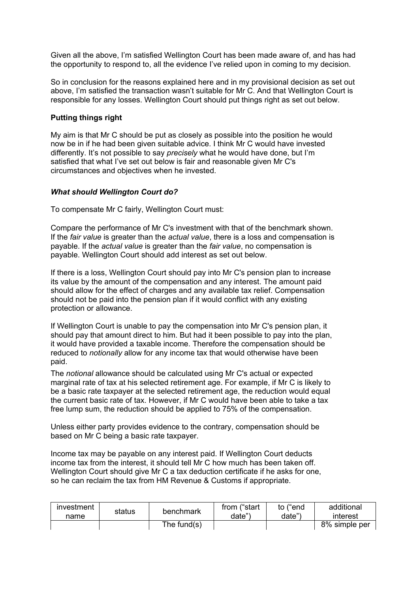Given all the above, I'm satisfied Wellington Court has been made aware of, and has had the opportunity to respond to, all the evidence I've relied upon in coming to my decision.

So in conclusion for the reasons explained here and in my provisional decision as set out above, I'm satisfied the transaction wasn't suitable for Mr C. And that Wellington Court is responsible for any losses. Wellington Court should put things right as set out below.

## **Putting things right**

My aim is that Mr C should be put as closely as possible into the position he would now be in if he had been given suitable advice. I think Mr C would have invested differently. It's not possible to say *precisely* what he would have done, but I'm satisfied that what I've set out below is fair and reasonable given Mr C's circumstances and objectives when he invested.

## *What should Wellington Court do?*

To compensate Mr C fairly, Wellington Court must:

Compare the performance of Mr C's investment with that of the benchmark shown. If the *fair value* is greater than the *actual value*, there is a loss and compensation is payable. If the *actual value* is greater than the *fair value*, no compensation is payable. Wellington Court should add interest as set out below.

If there is a loss, Wellington Court should pay into Mr C's pension plan to increase its value by the amount of the compensation and any interest. The amount paid should allow for the effect of charges and any available tax relief. Compensation should not be paid into the pension plan if it would conflict with any existing protection or allowance.

If Wellington Court is unable to pay the compensation into Mr C's pension plan, it should pay that amount direct to him. But had it been possible to pay into the plan, it would have provided a taxable income. Therefore the compensation should be reduced to *notionally* allow for any income tax that would otherwise have been paid.

The *notional* allowance should be calculated using Mr C's actual or expected marginal rate of tax at his selected retirement age. For example, if Mr C is likely to be a basic rate taxpayer at the selected retirement age, the reduction would equal the current basic rate of tax. However, if Mr C would have been able to take a tax free lump sum, the reduction should be applied to 75% of the compensation.

Unless either party provides evidence to the contrary, compensation should be based on Mr C being a basic rate taxpayer.

Income tax may be payable on any interest paid. If Wellington Court deducts income tax from the interest, it should tell Mr C how much has been taken off. Wellington Court should give Mr C a tax deduction certificate if he asks for one, so he can reclaim the tax from HM Revenue & Customs if appropriate.

| investment<br>name | status | benchmark      | from ("start<br>date"` | to ("end<br>date" | additional<br>interest |
|--------------------|--------|----------------|------------------------|-------------------|------------------------|
|                    |        | The fund $(s)$ |                        |                   | 8% simple per          |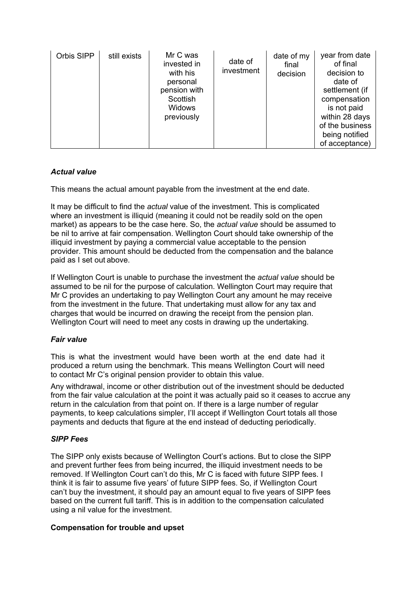| Orbis SIPP | still exists | Mr C was<br>invested in<br>with his<br>personal<br>pension with<br>Scottish<br><b>Widows</b><br>previously | date of<br>investment | date of my<br>final<br>decision | year from date<br>of final<br>decision to<br>date of<br>settlement (if<br>compensation<br>is not paid<br>within 28 days<br>of the business<br>being notified<br>of acceptance) |
|------------|--------------|------------------------------------------------------------------------------------------------------------|-----------------------|---------------------------------|--------------------------------------------------------------------------------------------------------------------------------------------------------------------------------|
|------------|--------------|------------------------------------------------------------------------------------------------------------|-----------------------|---------------------------------|--------------------------------------------------------------------------------------------------------------------------------------------------------------------------------|

# *Actual value*

This means the actual amount payable from the investment at the end date.

It may be difficult to find the *actual* value of the investment. This is complicated where an investment is illiquid (meaning it could not be readily sold on the open market) as appears to be the case here. So, the *actual value* should be assumed to be nil to arrive at fair compensation. Wellington Court should take ownership of the illiquid investment by paying a commercial value acceptable to the pension provider. This amount should be deducted from the compensation and the balance paid as I set out above.

If Wellington Court is unable to purchase the investment the *actual value* should be assumed to be nil for the purpose of calculation. Wellington Court may require that Mr C provides an undertaking to pay Wellington Court any amount he may receive from the investment in the future. That undertaking must allow for any tax and charges that would be incurred on drawing the receipt from the pension plan. Wellington Court will need to meet any costs in drawing up the undertaking.

# *Fair value*

This is what the investment would have been worth at the end date had it produced a return using the benchmark. This means Wellington Court will need to contact Mr C's original pension provider to obtain this value.

Any withdrawal, income or other distribution out of the investment should be deducted from the fair value calculation at the point it was actually paid so it ceases to accrue any return in the calculation from that point on. If there is a large number of regular payments, to keep calculations simpler, I'll accept if Wellington Court totals all those payments and deducts that figure at the end instead of deducting periodically.

# *SIPP Fees*

The SIPP only exists because of Wellington Court's actions. But to close the SIPP and prevent further fees from being incurred, the illiquid investment needs to be removed. If Wellington Court can't do this, Mr C is faced with future SIPP fees. I think it is fair to assume five years' of future SIPP fees. So, if Wellington Court can't buy the investment, it should pay an amount equal to five years of SIPP fees based on the current full tariff. This is in addition to the compensation calculated using a nil value for the investment.

# **Compensation for trouble and upset**